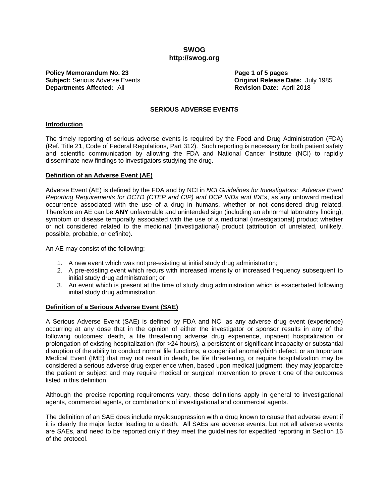# **SWOG http://swog.org**

**Policy Memorandum No. 23 Consults According to Page 1 of 5 pages Departments Affected: All** 

**Subject:** Serious Adverse Events **Original Release Date:** July 1985

### **SERIOUS ADVERSE EVENTS**

## **Introduction**

The timely reporting of serious adverse events is required by the Food and Drug Administration (FDA) (Ref. Title 21, Code of Federal Regulations, Part 312). Such reporting is necessary for both patient safety and scientific communication by allowing the FDA and National Cancer Institute (NCI) to rapidly disseminate new findings to investigators studying the drug.

#### **Definition of an Adverse Event (AE)**

Adverse Event (AE) is defined by the FDA and by NCI in *NCI Guidelines for Investigators: Adverse Event Reporting Requirements for DCTD (CTEP and CIP) and DCP INDs and IDEs*, as any untoward medical occurrence associated with the use of a drug in humans, whether or not considered drug related. Therefore an AE can be **ANY** unfavorable and unintended sign (including an abnormal laboratory finding), symptom or disease temporally associated with the use of a medicinal (investigational) product whether or not considered related to the medicinal (investigational) product (attribution of unrelated, unlikely, possible, probable, or definite).

An AE may consist of the following:

- 1. A new event which was not pre-existing at initial study drug administration;
- 2. A pre-existing event which recurs with increased intensity or increased frequency subsequent to initial study drug administration; or
- 3. An event which is present at the time of study drug administration which is exacerbated following initial study drug administration.

# **Definition of a Serious Adverse Event (SAE)**

A Serious Adverse Event (SAE) is defined by FDA and NCI as any adverse drug event (experience) occurring at any dose that in the opinion of either the investigator or sponsor results in any of the following outcomes: death, a life threatening adverse drug experience, inpatient hospitalization or prolongation of existing hospitalization (for >24 hours), a persistent or significant incapacity or substantial disruption of the ability to conduct normal life functions, a congenital anomaly/birth defect, or an Important Medical Event (IME) that may not result in death, be life threatening, or require hospitalization may be considered a serious adverse drug experience when, based upon medical judgment, they may jeopardize the patient or subject and may require medical or surgical intervention to prevent one of the outcomes listed in this definition.

Although the precise reporting requirements vary, these definitions apply in general to investigational agents, commercial agents, or combinations of investigational and commercial agents.

The definition of an SAE does include myelosuppression with a drug known to cause that adverse event if it is clearly the major factor leading to a death. All SAEs are adverse events, but not all adverse events are SAEs, and need to be reported only if they meet the guidelines for expedited reporting in Section 16 of the protocol.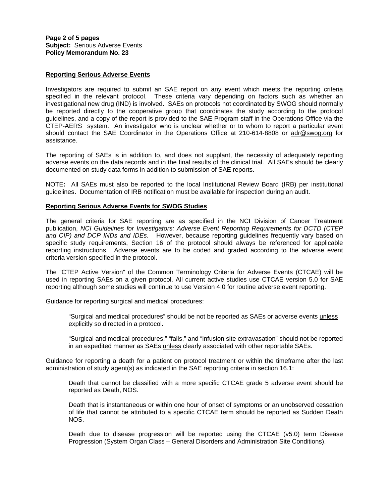**Page 2 of 5 pages Subject:** Serious Adverse Events **Policy Memorandum No. 23** 

# **Reporting Serious Adverse Events**

Investigators are required to submit an SAE report on any event which meets the reporting criteria specified in the relevant protocol. These criteria vary depending on factors such as whether an investigational new drug (IND) is involved. SAEs on protocols not coordinated by SWOG should normally be reported directly to the cooperative group that coordinates the study according to the protocol guidelines, and a copy of the report is provided to the SAE Program staff in the Operations Office via the CTEP-AERS system. An investigator who is unclear whether or to whom to report a particular event should contact the SAE Coordinator in the Operations Office at 210-614-8808 or adr@swog.org for assistance.

The reporting of SAEs is in addition to, and does not supplant, the necessity of adequately reporting adverse events on the data records and in the final results of the clinical trial. All SAEs should be clearly documented on study data forms in addition to submission of SAE reports.

NOTE**:** All SAEs must also be reported to the local Institutional Review Board (IRB) per institutional guidelines**.** Documentation of IRB notification must be available for inspection during an audit.

#### **Reporting Serious Adverse Events for SWOG Studies**

The general criteria for SAE reporting are as specified in the NCI Division of Cancer Treatment publication, *NCI Guidelines for Investigators: Adverse Event Reporting Requirements for DCTD (CTEP and CIP) and DCP INDs and IDEs.* However, because reporting guidelines frequently vary based on specific study requirements, Section 16 of the protocol should always be referenced for applicable reporting instructions. Adverse events are to be coded and graded according to the adverse event criteria version specified in the protocol.

The "CTEP Active Version" of the Common Terminology Criteria for Adverse Events (CTCAE) will be used in reporting SAEs on a given protocol. All current active studies use CTCAE version 5.0 for SAE reporting although some studies will continue to use Version 4.0 for routine adverse event reporting.

Guidance for reporting surgical and medical procedures:

"Surgical and medical procedures" should be not be reported as SAEs or adverse events unless explicitly so directed in a protocol.

"Surgical and medical procedures," "falls," and "infusion site extravasation" should not be reported in an expedited manner as SAEs unless clearly associated with other reportable SAEs.

Guidance for reporting a death for a patient on protocol treatment or within the timeframe after the last administration of study agent(s) as indicated in the SAE reporting criteria in section 16.1:

Death that cannot be classified with a more specific CTCAE grade 5 adverse event should be reported as Death, NOS.

Death that is instantaneous or within one hour of onset of symptoms or an unobserved cessation of life that cannot be attributed to a specific CTCAE term should be reported as Sudden Death NOS.

Death due to disease progression will be reported using the CTCAE (v5.0) term Disease Progression (System Organ Class – General Disorders and Administration Site Conditions).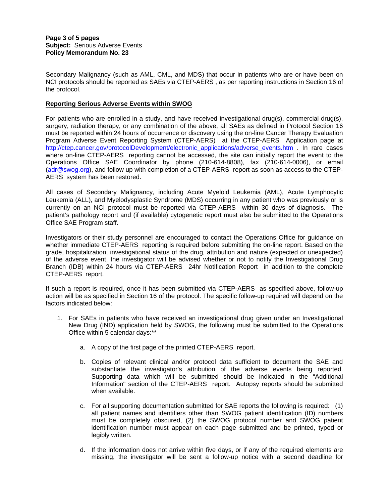Secondary Malignancy (such as AML, CML, and MDS) that occur in patients who are or have been on NCI protocols should be reported as SAEs via CTEP-AERS , as per reporting instructions in Section 16 of the protocol.

# **Reporting Serious Adverse Events within SWOG**

For patients who are enrolled in a study, and have received investigational drug(s), commercial drug(s), surgery, radiation therapy, or any combination of the above, all SAEs as defined in Protocol Section 16 must be reported within 24 hours of occurrence or discovery using the on-line Cancer Therapy Evaluation Program Adverse Event Reporting System (CTEP-AERS) at the CTEP-AERS Application page at http://ctep.cancer.gov/protocolDevelopment/electronic\_applications/adverse\_events.htm . In rare cases where on-line CTEP-AERS reporting cannot be accessed, the site can initially report the event to the Operations Office SAE Coordinator by phone (210-614-8808), fax (210-614-0006), or email (adr@swog.org), and follow up with completion of a CTEP-AERS report as soon as access to the CTEP-AERS system has been restored.

All cases of Secondary Malignancy, including Acute Myeloid Leukemia (AML), Acute Lymphocytic Leukemia (ALL), and Myelodysplastic Syndrome (MDS) occurring in any patient who was previously or is currently on an NCI protocol must be reported via CTEP-AERS within 30 days of diagnosis. The patient's pathology report and (if available) cytogenetic report must also be submitted to the Operations Office SAE Program staff.

Investigators or their study personnel are encouraged to contact the Operations Office for guidance on whether immediate CTEP-AERS reporting is required before submitting the on-line report. Based on the grade, hospitalization, investigational status of the drug, attribution and nature (expected or unexpected) of the adverse event, the investigator will be advised whether or not to notify the Investigational Drug Branch (IDB) within 24 hours via CTEP-AERS 24hr Notification Report in addition to the complete CTEP-AERS report.

If such a report is required, once it has been submitted via CTEP-AERS as specified above, follow-up action will be as specified in Section 16 of the protocol. The specific follow-up required will depend on the factors indicated below:

- 1. For SAEs in patients who have received an investigational drug given under an Investigational New Drug (IND) application held by SWOG, the following must be submitted to the Operations Office within 5 calendar days:\*\*
	- a. A copy of the first page of the printed CTEP-AERS report.
	- b. Copies of relevant clinical and/or protocol data sufficient to document the SAE and substantiate the investigator's attribution of the adverse events being reported. Supporting data which will be submitted should be indicated in the "Additional Information" section of the CTEP-AERS report. Autopsy reports should be submitted when available.
	- c. For all supporting documentation submitted for SAE reports the following is required: (1) all patient names and identifiers other than SWOG patient identification (ID) numbers must be completely obscured, (2) the SWOG protocol number and SWOG patient identification number must appear on each page submitted and be printed, typed or legibly written.
	- d. If the information does not arrive within five days, or if any of the required elements are missing, the investigator will be sent a follow-up notice with a second deadline for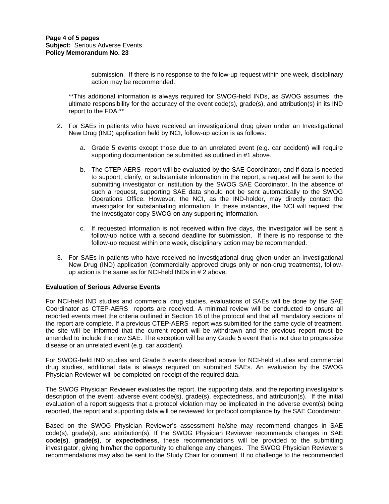submission. If there is no response to the follow-up request within one week, disciplinary action may be recommended.

\*\*This additional information is always required for SWOG-held INDs, as SWOG assumes the ultimate responsibility for the accuracy of the event code(s), grade(s), and attribution(s) in its IND report to the FDA.\*\*

- 2. For SAEs in patients who have received an investigational drug given under an Investigational New Drug (IND) application held by NCI, follow-up action is as follows:
	- a. Grade 5 events except those due to an unrelated event (e.g. car accident) will require supporting documentation be submitted as outlined in #1 above.
	- b. The CTEP-AERS report will be evaluated by the SAE Coordinator, and if data is needed to support, clarify, or substantiate information in the report, a request will be sent to the submitting investigator or institution by the SWOG SAE Coordinator. In the absence of such a request, supporting SAE data should not be sent automatically to the SWOG Operations Office. However, the NCI, as the IND-holder, may directly contact the investigator for substantiating information. In these instances, the NCI will request that the investigator copy SWOG on any supporting information.
	- c. If requested information is not received within five days, the investigator will be sent a follow-up notice with a second deadline for submission. If there is no response to the follow-up request within one week, disciplinary action may be recommended.
- 3. For SAEs in patients who have received no investigational drug given under an Investigational New Drug (IND) application (commercially approved drugs only or non-drug treatments), followup action is the same as for NCI-held INDs in # 2 above.

# **Evaluation of Serious Adverse Events**

For NCI-held IND studies and commercial drug studies, evaluations of SAEs will be done by the SAE Coordinator as CTEP-AERS reports are received. A minimal review will be conducted to ensure all reported events meet the criteria outlined in Section 16 of the protocol and that all mandatory sections of the report are complete. If a previous CTEP-AERS report was submitted for the same cycle of treatment, the site will be informed that the current report will be withdrawn and the previous report must be amended to include the new SAE. The exception will be any Grade 5 event that is not due to progressive disease or an unrelated event (e.g. car accident).

For SWOG-held IND studies and Grade 5 events described above for NCI-held studies and commercial drug studies, additional data is always required on submitted SAEs. An evaluation by the SWOG Physician Reviewer will be completed on receipt of the required data.

The SWOG Physician Reviewer evaluates the report, the supporting data, and the reporting investigator's description of the event, adverse event code(s), grade(s), expectedness, and attribution(s). If the initial evaluation of a report suggests that a protocol violation may be implicated in the adverse event(s) being reported, the report and supporting data will be reviewed for protocol compliance by the SAE Coordinator.

Based on the SWOG Physician Reviewer's assessment he/she may recommend changes in SAE code(s), grade(s), and attribution(s). If the SWOG Physician Reviewer recommends changes in SAE **code(s)**, **grade(s)**, or **expectedness**, these recommendations will be provided to the submitting investigator, giving him/her the opportunity to challenge any changes. The SWOG Physician Reviewer's recommendations may also be sent to the Study Chair for comment. If no challenge to the recommended